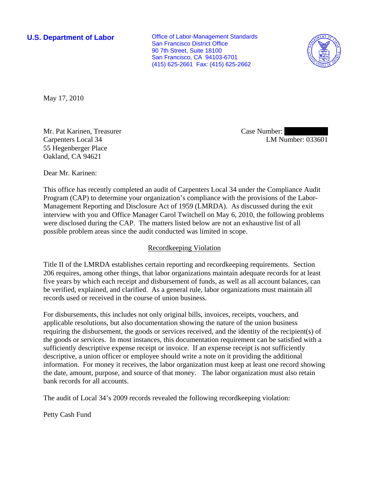**U.S. Department of Labor Conservative Conservative Conservative Conservative Conservative Conservative Conservative Conservative Conservative Conservative Conservative Conservative Conservative Conservative Conservative** San Francisco District Office 90 7th Street, Suite 18100 San Francisco, CA 94103-6701 (415) 625-2661 Fax: (415) 625-2662



May 17, 2010

Mr. Pat Karinen, Treasurer Carpenters Local 34 55 Hegenberger Place Oakland, CA 94621

Case Number: LM Number: 033601

Dear Mr. Karinen:

This office has recently completed an audit of Carpenters Local 34 under the Compliance Audit Program (CAP) to determine your organization's compliance with the provisions of the Labor-Management Reporting and Disclosure Act of 1959 (LMRDA). As discussed during the exit interview with you and Office Manager Carol Twitchell on May 6, 2010, the following problems were disclosed during the CAP. The matters listed below are not an exhaustive list of all possible problem areas since the audit conducted was limited in scope.

## Recordkeeping Violation

Title II of the LMRDA establishes certain reporting and recordkeeping requirements. Section 206 requires, among other things, that labor organizations maintain adequate records for at least five years by which each receipt and disbursement of funds, as well as all account balances, can be verified, explained, and clarified. As a general rule, labor organizations must maintain all records used or received in the course of union business.

For disbursements, this includes not only original bills, invoices, receipts, vouchers, and applicable resolutions, but also documentation showing the nature of the union business requiring the disbursement, the goods or services received, and the identity of the recipient(s) of the goods or services. In most instances, this documentation requirement can be satisfied with a sufficiently descriptive expense receipt or invoice. If an expense receipt is not sufficiently descriptive, a union officer or employee should write a note on it providing the additional information. For money it receives, the labor organization must keep at least one record showing the date, amount, purpose, and source of that money. The labor organization must also retain bank records for all accounts.

The audit of Local 34's 2009 records revealed the following recordkeeping violation:

Petty Cash Fund